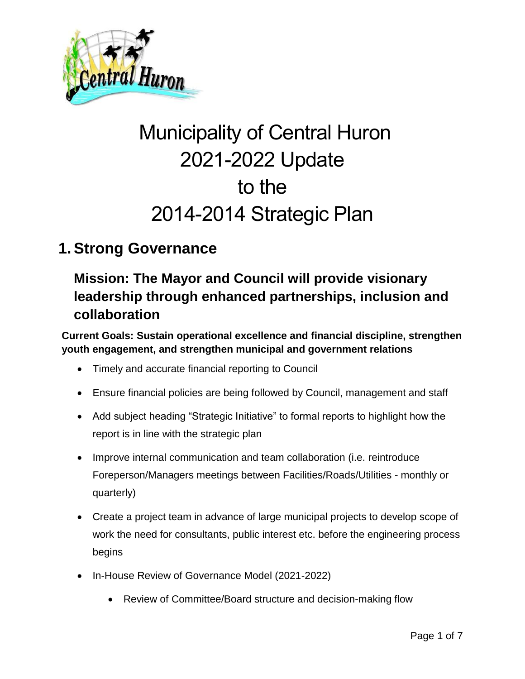

# Municipality of Central Huron 2021-2022 Update to the 2014-2014 Strategic Plan

### **1. Strong Governance**

### **Mission: The Mayor and Council will provide visionary leadership through enhanced partnerships, inclusion and collaboration**

**Current Goals: Sustain operational excellence and financial discipline, strengthen youth engagement, and strengthen municipal and government relations**

- Timely and accurate financial reporting to Council
- Ensure financial policies are being followed by Council, management and staff
- Add subject heading "Strategic Initiative" to formal reports to highlight how the report is in line with the strategic plan
- Improve internal communication and team collaboration (i.e. reintroduce Foreperson/Managers meetings between Facilities/Roads/Utilities - monthly or quarterly)
- Create a project team in advance of large municipal projects to develop scope of work the need for consultants, public interest etc. before the engineering process begins
- In-House Review of Governance Model (2021-2022)
	- Review of Committee/Board structure and decision-making flow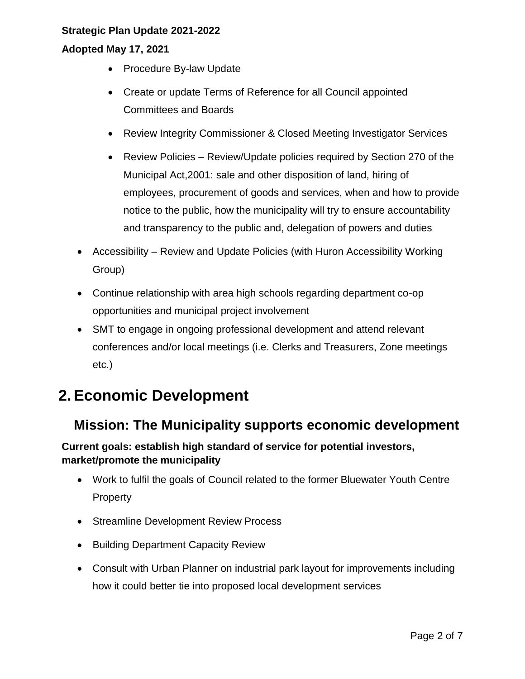#### **Adopted May 17, 2021**

- Procedure By-law Update
- Create or update Terms of Reference for all Council appointed Committees and Boards
- Review Integrity Commissioner & Closed Meeting Investigator Services
- Review Policies Review/Update policies required by Section 270 of the Municipal Act,2001: sale and other disposition of land, hiring of employees, procurement of goods and services, when and how to provide notice to the public, how the municipality will try to ensure accountability and transparency to the public and, delegation of powers and duties
- Accessibility Review and Update Policies (with Huron Accessibility Working Group)
- Continue relationship with area high schools regarding department co-op opportunities and municipal project involvement
- SMT to engage in ongoing professional development and attend relevant conferences and/or local meetings (i.e. Clerks and Treasurers, Zone meetings etc.)

## **2. Economic Development**

### **Mission: The Municipality supports economic development**

**Current goals: establish high standard of service for potential investors, market/promote the municipality**

- Work to fulfil the goals of Council related to the former Bluewater Youth Centre Property
- Streamline Development Review Process
- Building Department Capacity Review
- Consult with Urban Planner on industrial park layout for improvements including how it could better tie into proposed local development services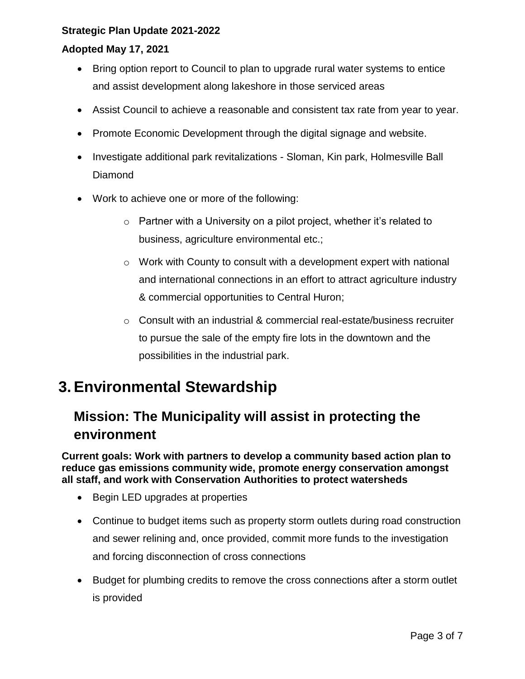#### **Adopted May 17, 2021**

- Bring option report to Council to plan to upgrade rural water systems to entice and assist development along lakeshore in those serviced areas
- Assist Council to achieve a reasonable and consistent tax rate from year to year.
- Promote Economic Development through the digital signage and website.
- Investigate additional park revitalizations Sloman, Kin park, Holmesville Ball Diamond
- Work to achieve one or more of the following:
	- $\circ$  Partner with a University on a pilot project, whether it's related to business, agriculture environmental etc.;
	- $\circ$  Work with County to consult with a development expert with national and international connections in an effort to attract agriculture industry & commercial opportunities to Central Huron;
	- o Consult with an industrial & commercial real-estate/business recruiter to pursue the sale of the empty fire lots in the downtown and the possibilities in the industrial park.

### **3. Environmental Stewardship**

### **Mission: The Municipality will assist in protecting the environment**

**Current goals: Work with partners to develop a community based action plan to reduce gas emissions community wide, promote energy conservation amongst all staff, and work with Conservation Authorities to protect watersheds**

- Begin LED upgrades at properties
- Continue to budget items such as property storm outlets during road construction and sewer relining and, once provided, commit more funds to the investigation and forcing disconnection of cross connections
- Budget for plumbing credits to remove the cross connections after a storm outlet is provided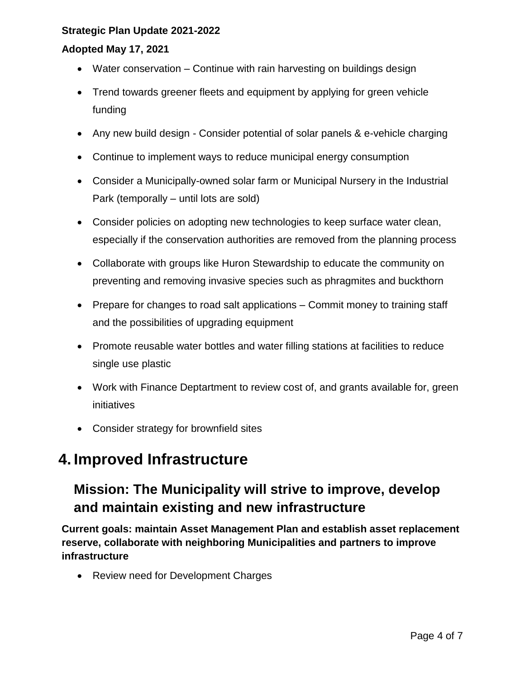#### **Adopted May 17, 2021**

- Water conservation Continue with rain harvesting on buildings design
- Trend towards greener fleets and equipment by applying for green vehicle funding
- Any new build design Consider potential of solar panels & e-vehicle charging
- Continue to implement ways to reduce municipal energy consumption
- Consider a Municipally-owned solar farm or Municipal Nursery in the Industrial Park (temporally – until lots are sold)
- Consider policies on adopting new technologies to keep surface water clean, especially if the conservation authorities are removed from the planning process
- Collaborate with groups like Huron Stewardship to educate the community on preventing and removing invasive species such as phragmites and buckthorn
- Prepare for changes to road salt applications Commit money to training staff and the possibilities of upgrading equipment
- Promote reusable water bottles and water filling stations at facilities to reduce single use plastic
- Work with Finance Deptartment to review cost of, and grants available for, green initiatives
- Consider strategy for brownfield sites

### **4. Improved Infrastructure**

### **Mission: The Municipality will strive to improve, develop and maintain existing and new infrastructure**

**Current goals: maintain Asset Management Plan and establish asset replacement reserve, collaborate with neighboring Municipalities and partners to improve infrastructure**

• Review need for Development Charges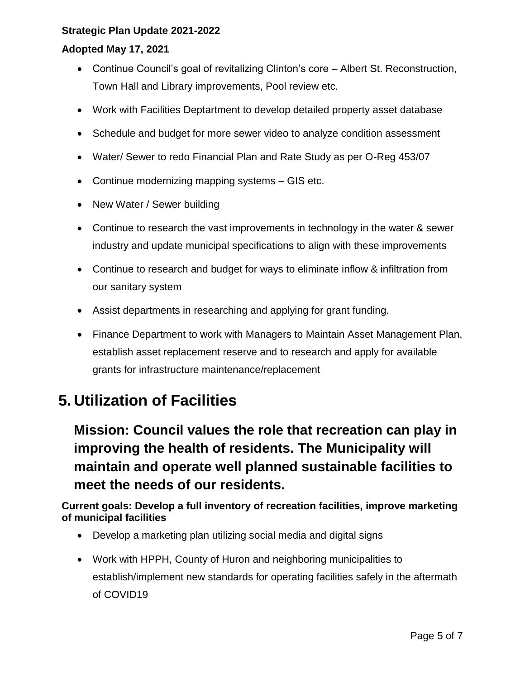#### **Adopted May 17, 2021**

- Continue Council's goal of revitalizing Clinton's core Albert St. Reconstruction, Town Hall and Library improvements, Pool review etc.
- Work with Facilities Deptartment to develop detailed property asset database
- Schedule and budget for more sewer video to analyze condition assessment
- Water/ Sewer to redo Financial Plan and Rate Study as per O-Reg 453/07
- Continue modernizing mapping systems GIS etc.
- New Water / Sewer building
- Continue to research the vast improvements in technology in the water & sewer industry and update municipal specifications to align with these improvements
- Continue to research and budget for ways to eliminate inflow & infiltration from our sanitary system
- Assist departments in researching and applying for grant funding.
- Finance Department to work with Managers to Maintain Asset Management Plan, establish asset replacement reserve and to research and apply for available grants for infrastructure maintenance/replacement

## **5. Utilization of Facilities**

**Mission: Council values the role that recreation can play in improving the health of residents. The Municipality will maintain and operate well planned sustainable facilities to meet the needs of our residents.**

**Current goals: Develop a full inventory of recreation facilities, improve marketing of municipal facilities**

- Develop a marketing plan utilizing social media and digital signs
- Work with HPPH, County of Huron and neighboring municipalities to establish/implement new standards for operating facilities safely in the aftermath of COVID19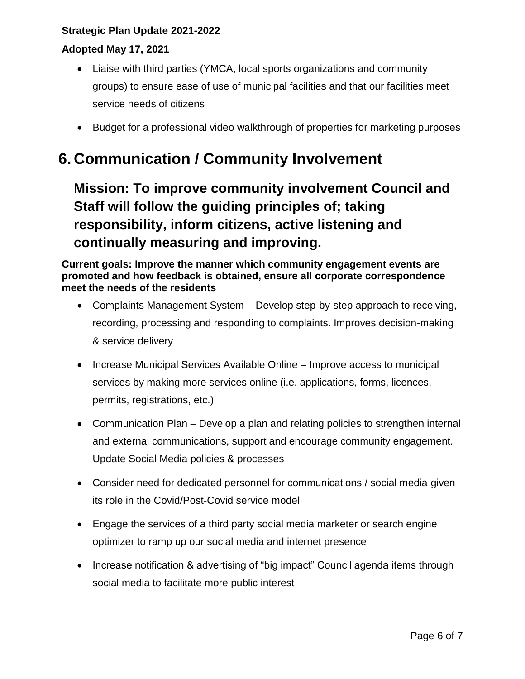#### **Adopted May 17, 2021**

- Liaise with third parties (YMCA, local sports organizations and community groups) to ensure ease of use of municipal facilities and that our facilities meet service needs of citizens
- Budget for a professional video walkthrough of properties for marketing purposes

# **6. Communication / Community Involvement**

**Mission: To improve community involvement Council and Staff will follow the guiding principles of; taking responsibility, inform citizens, active listening and continually measuring and improving.**

**Current goals: Improve the manner which community engagement events are promoted and how feedback is obtained, ensure all corporate correspondence meet the needs of the residents**

- Complaints Management System Develop step-by-step approach to receiving, recording, processing and responding to complaints. Improves decision-making & service delivery
- Increase Municipal Services Available Online Improve access to municipal services by making more services online (i.e. applications, forms, licences, permits, registrations, etc.)
- Communication Plan Develop a plan and relating policies to strengthen internal and external communications, support and encourage community engagement. Update Social Media policies & processes
- Consider need for dedicated personnel for communications / social media given its role in the Covid/Post-Covid service model
- Engage the services of a third party social media marketer or search engine optimizer to ramp up our social media and internet presence
- Increase notification & advertising of "big impact" Council agenda items through social media to facilitate more public interest